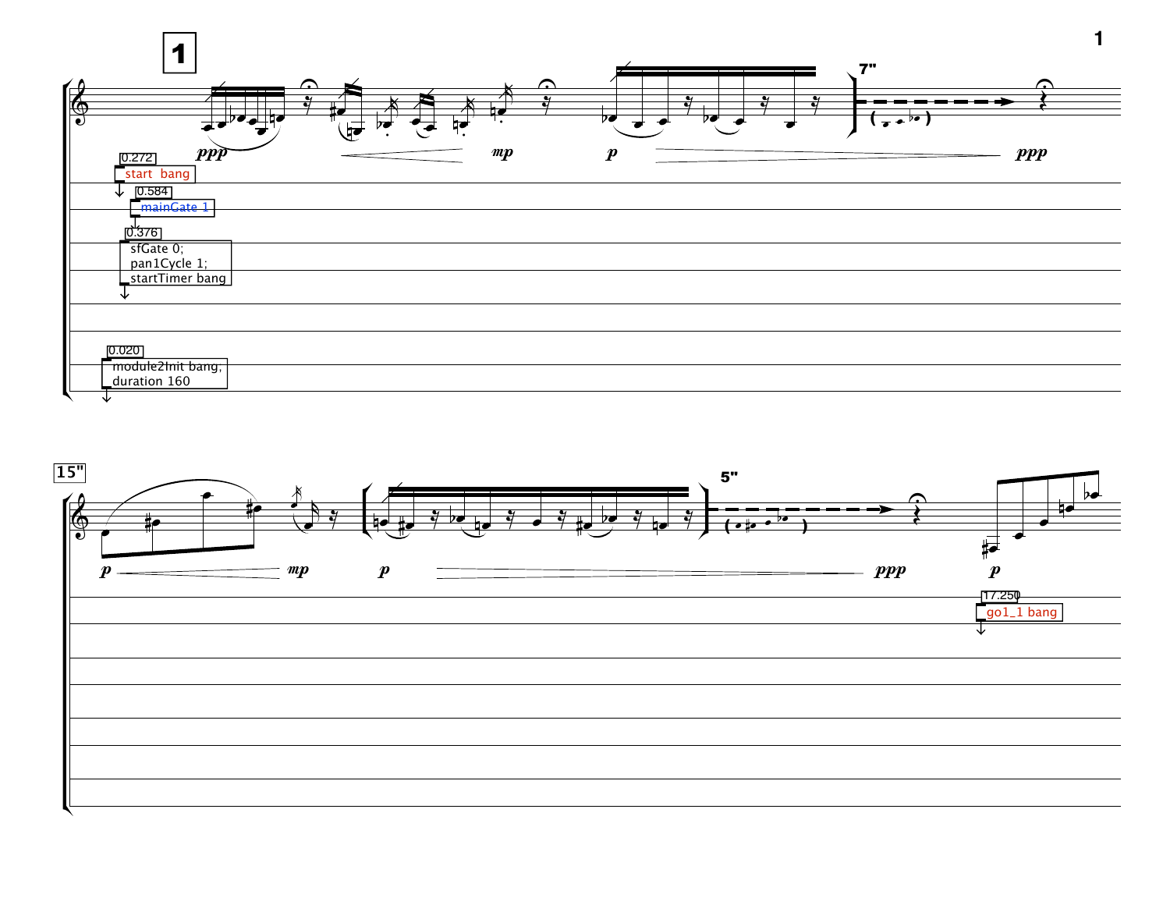

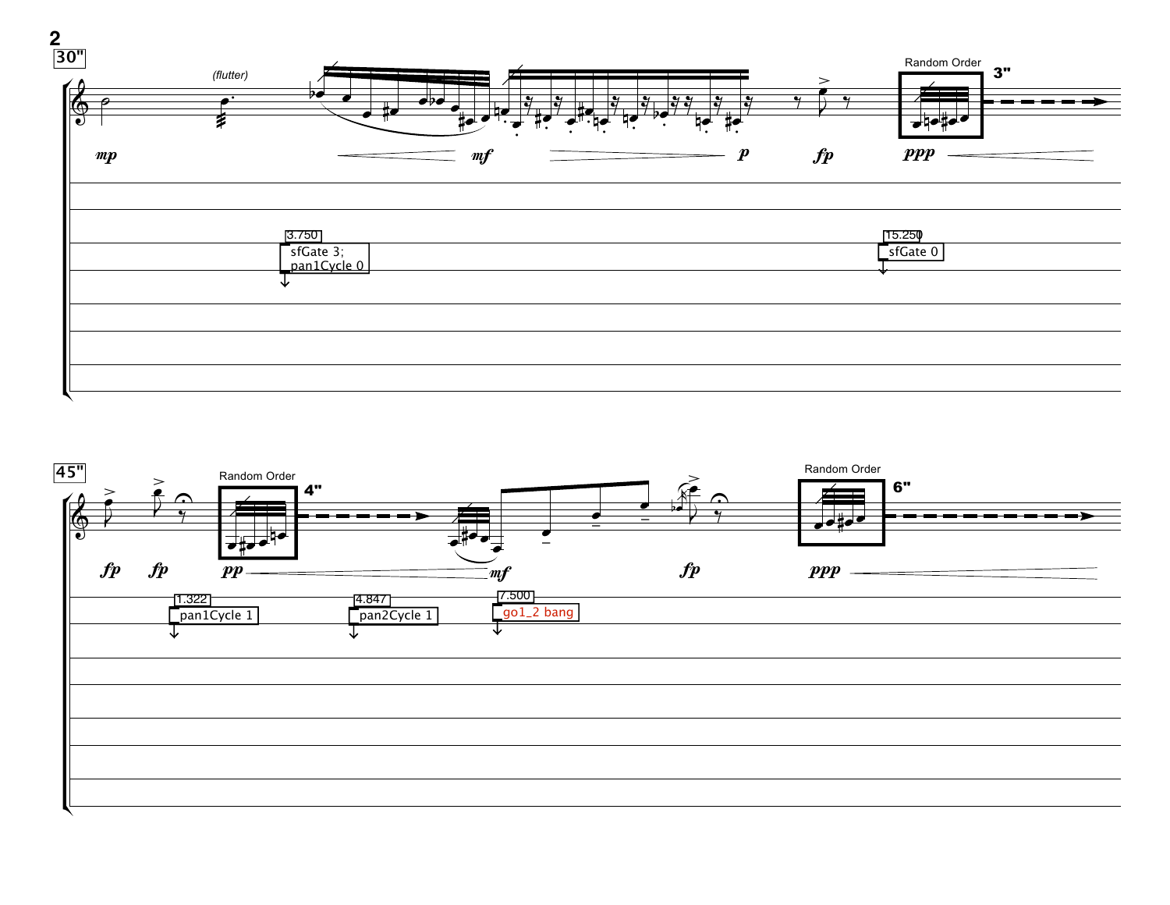

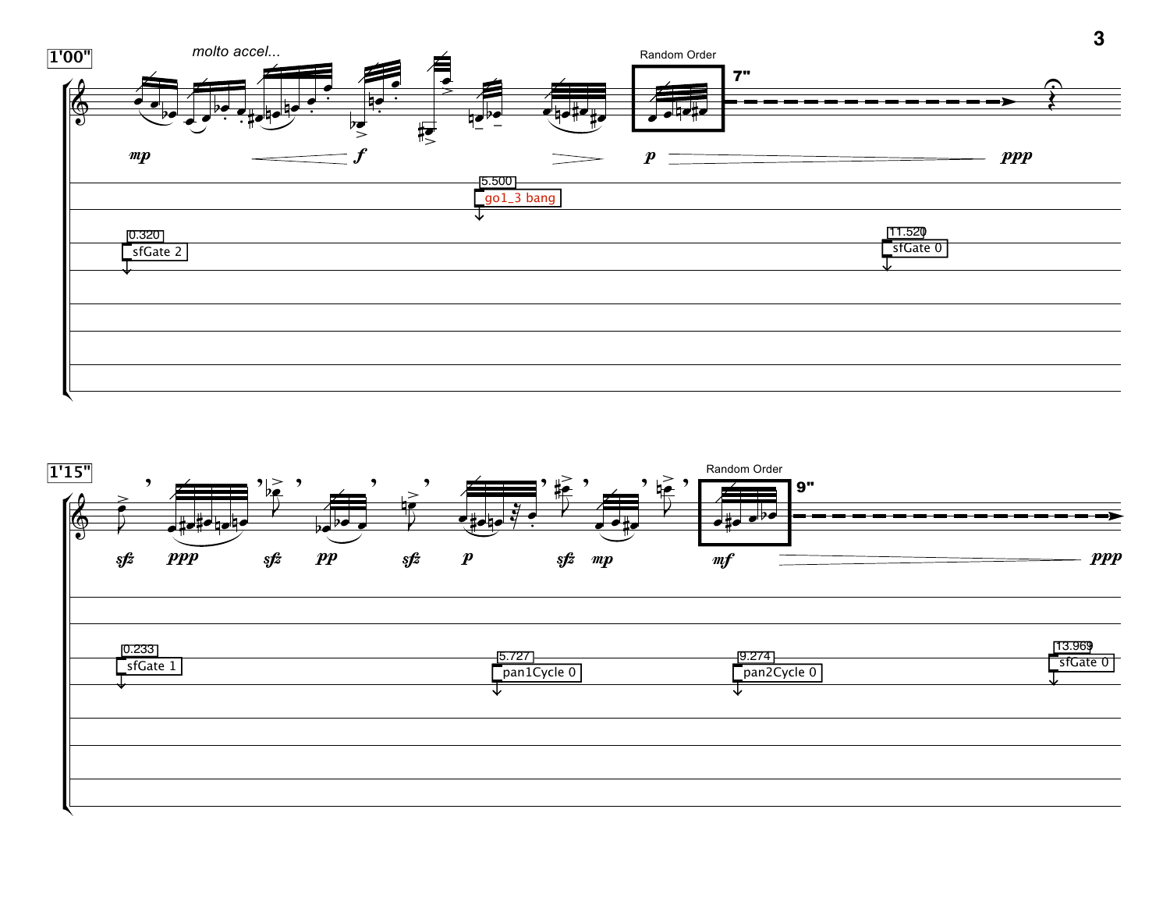

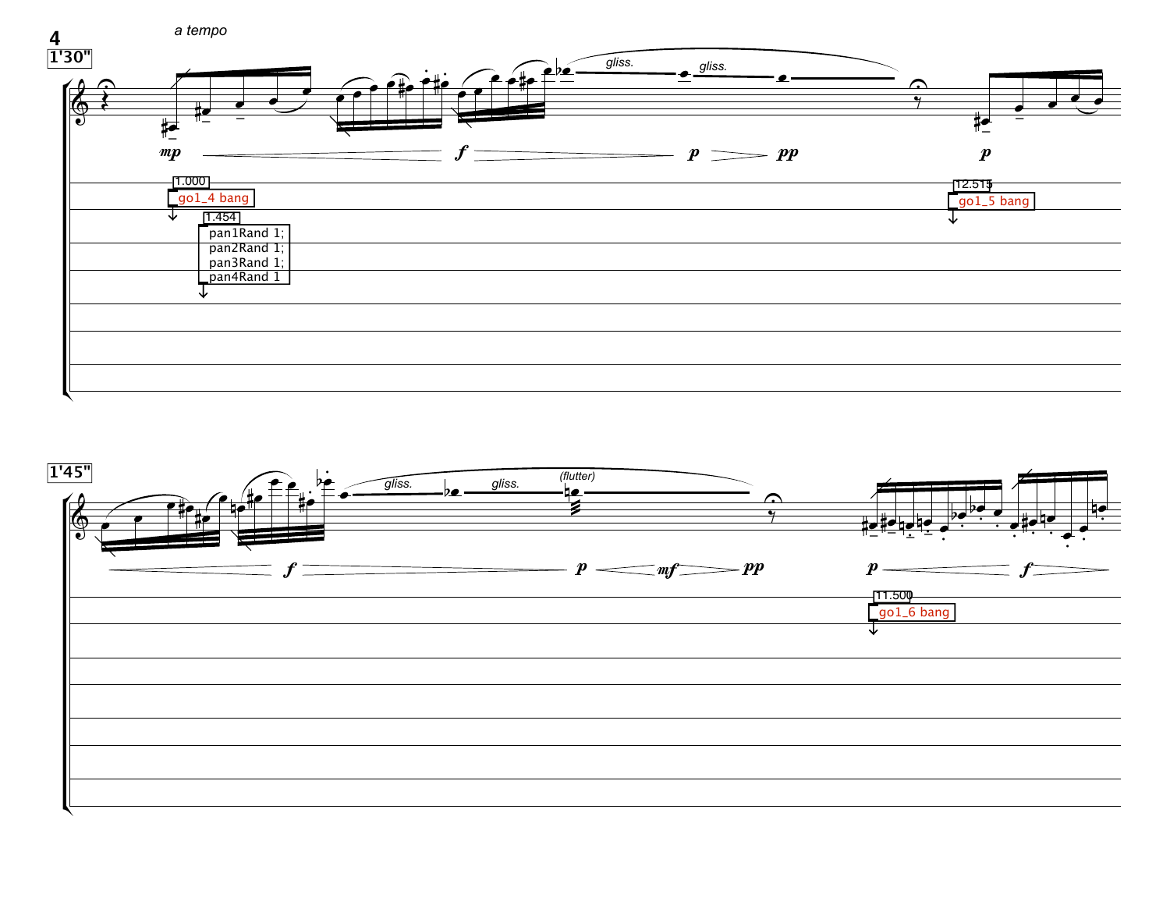

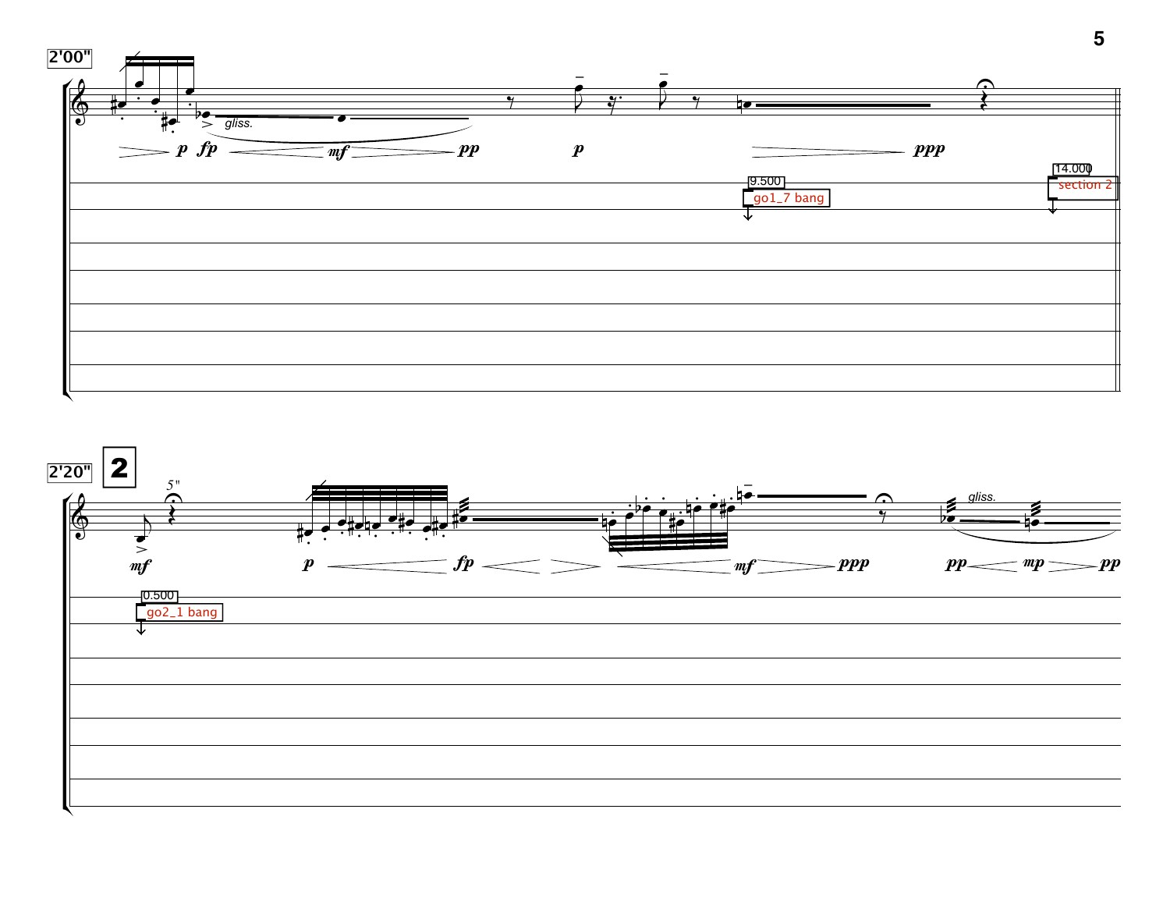

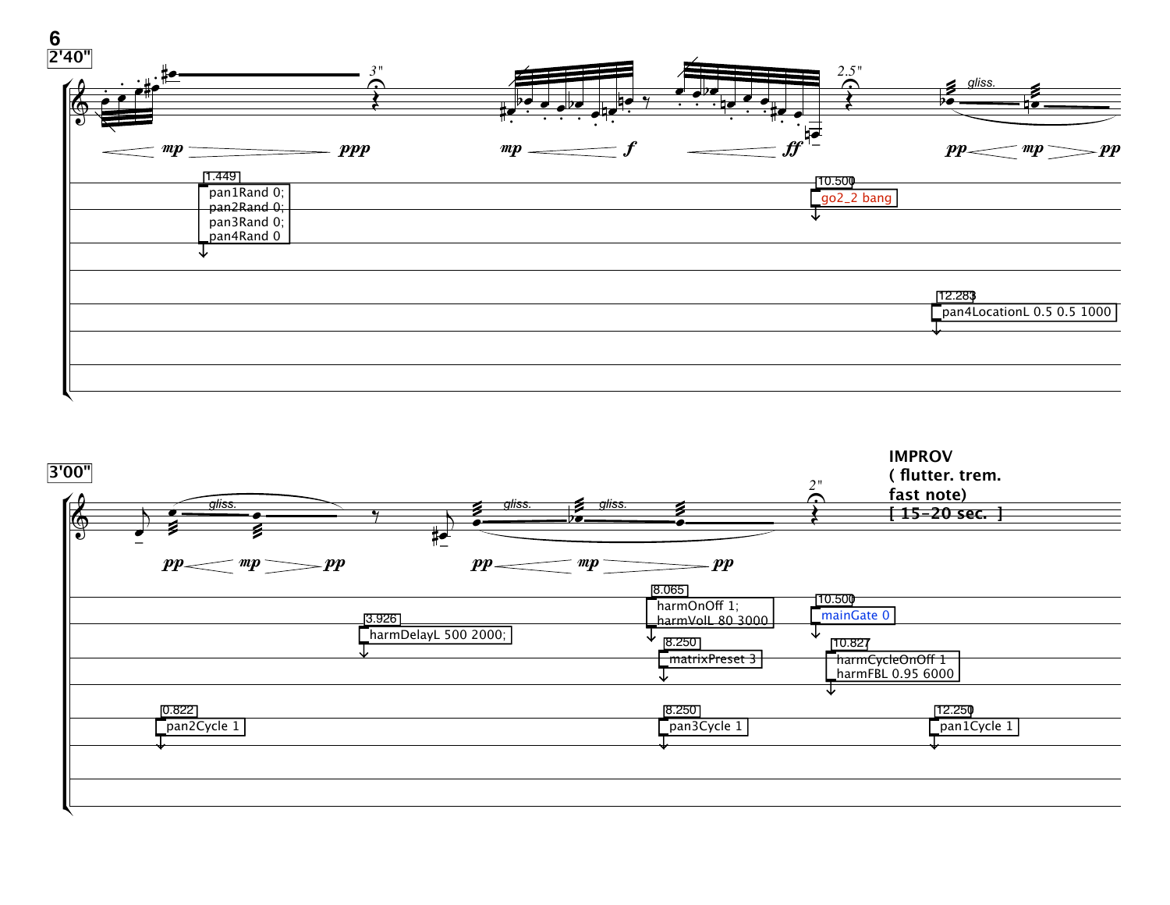

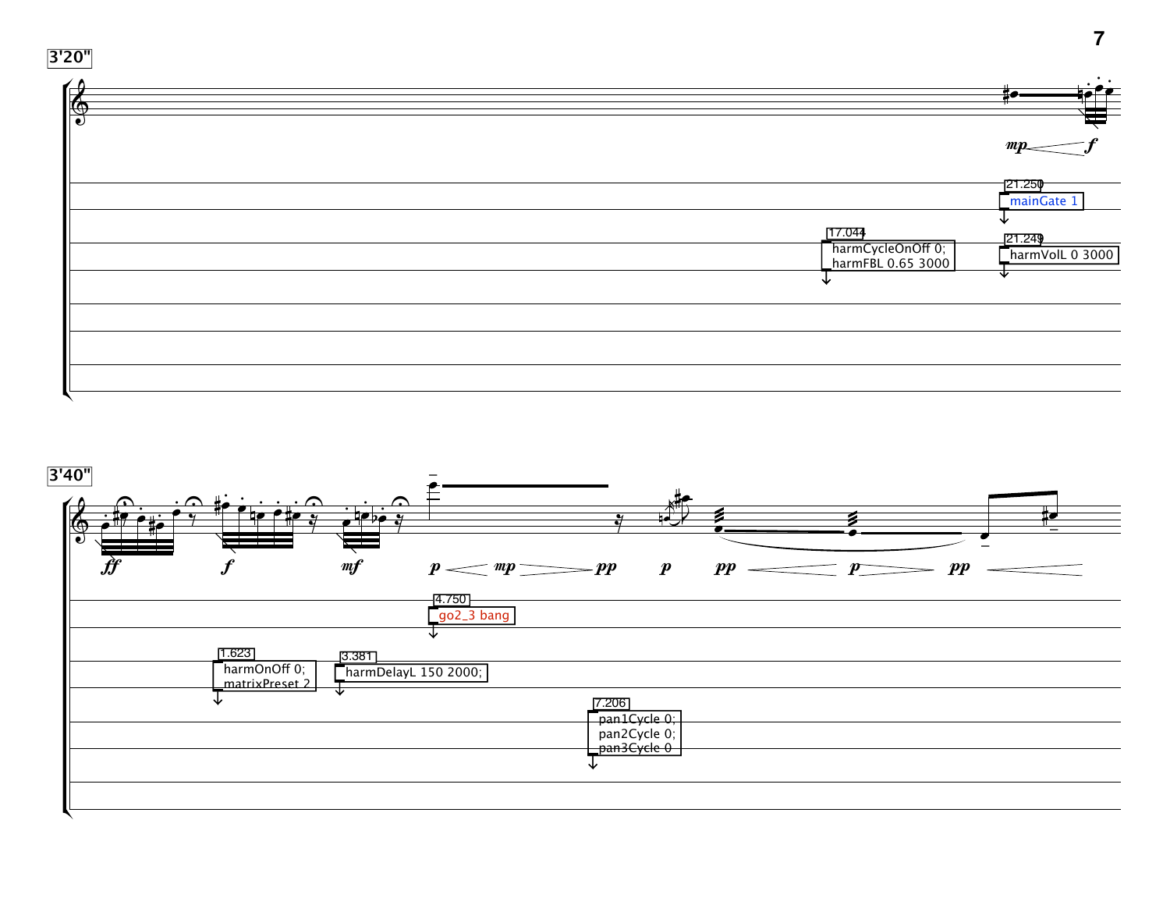

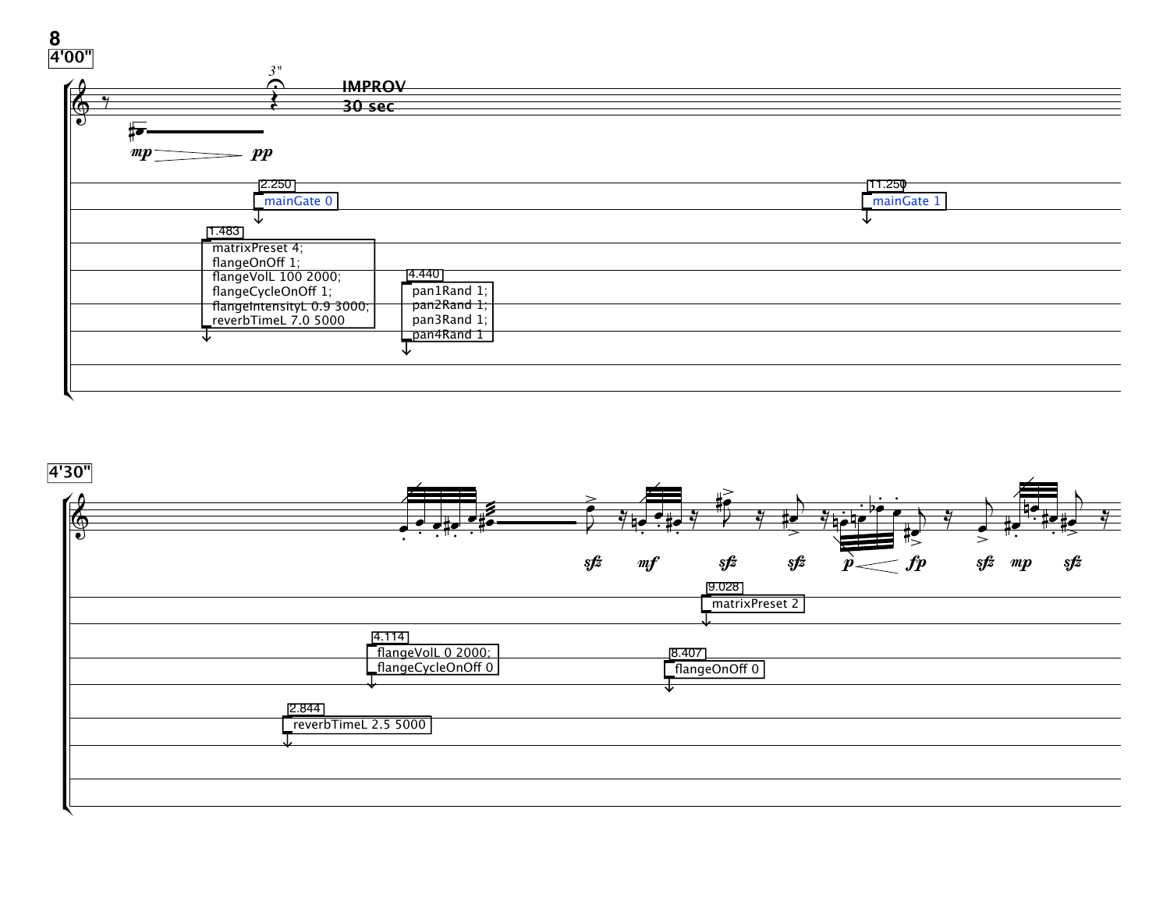

**4'30"**

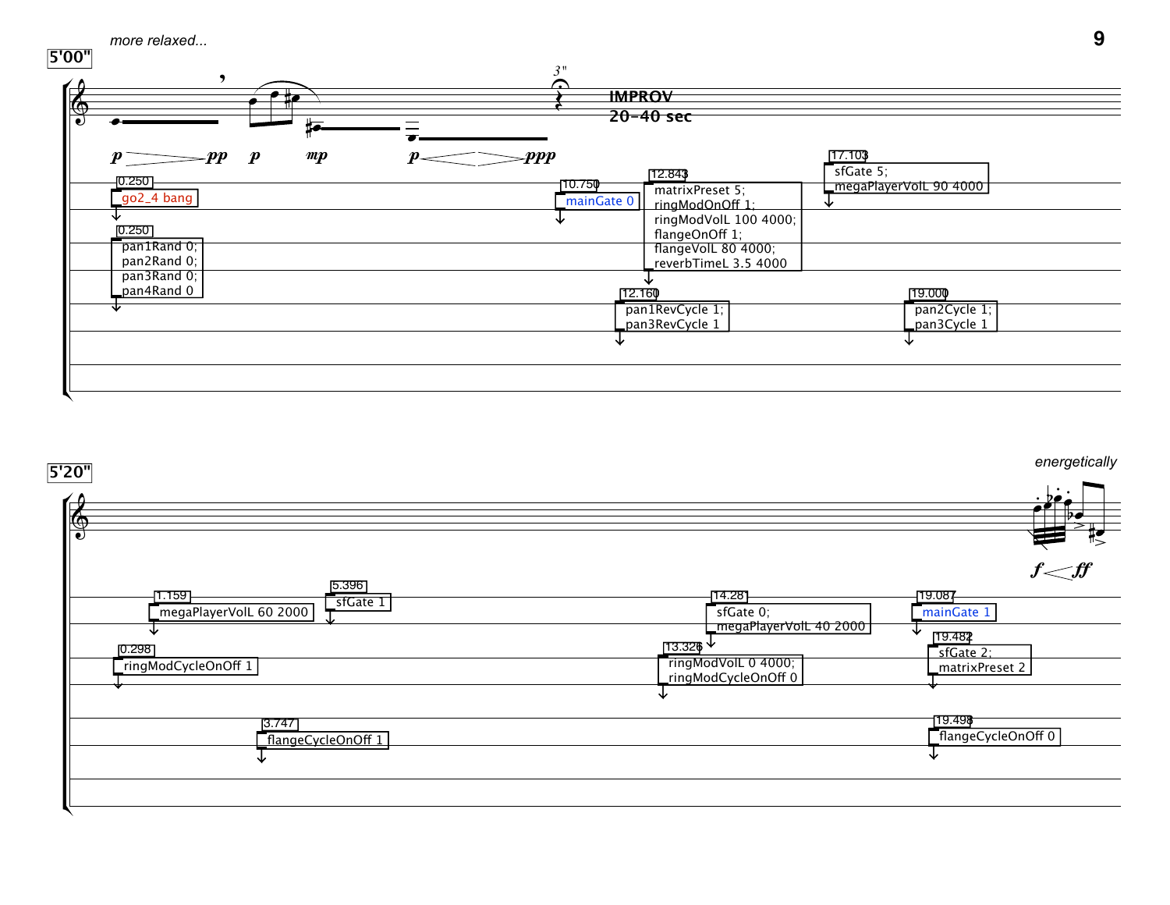



**9**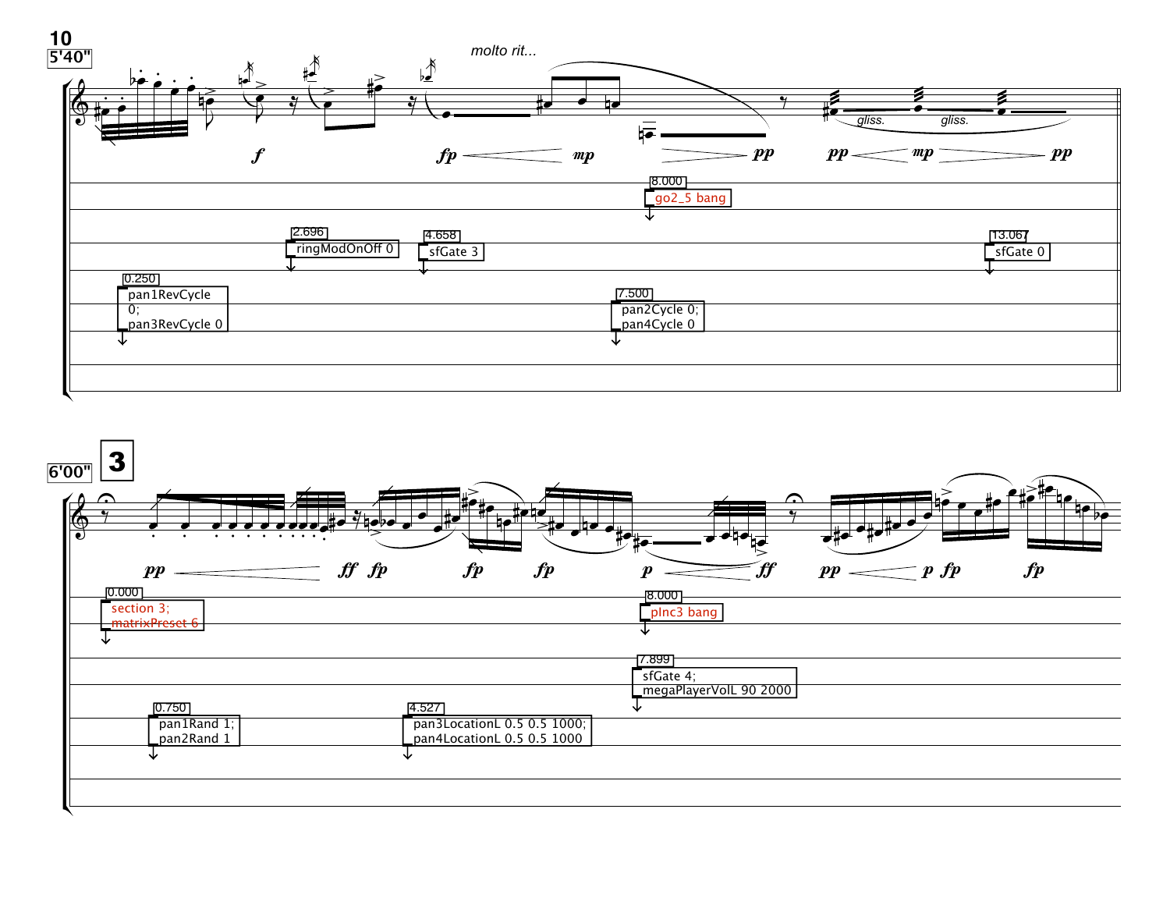

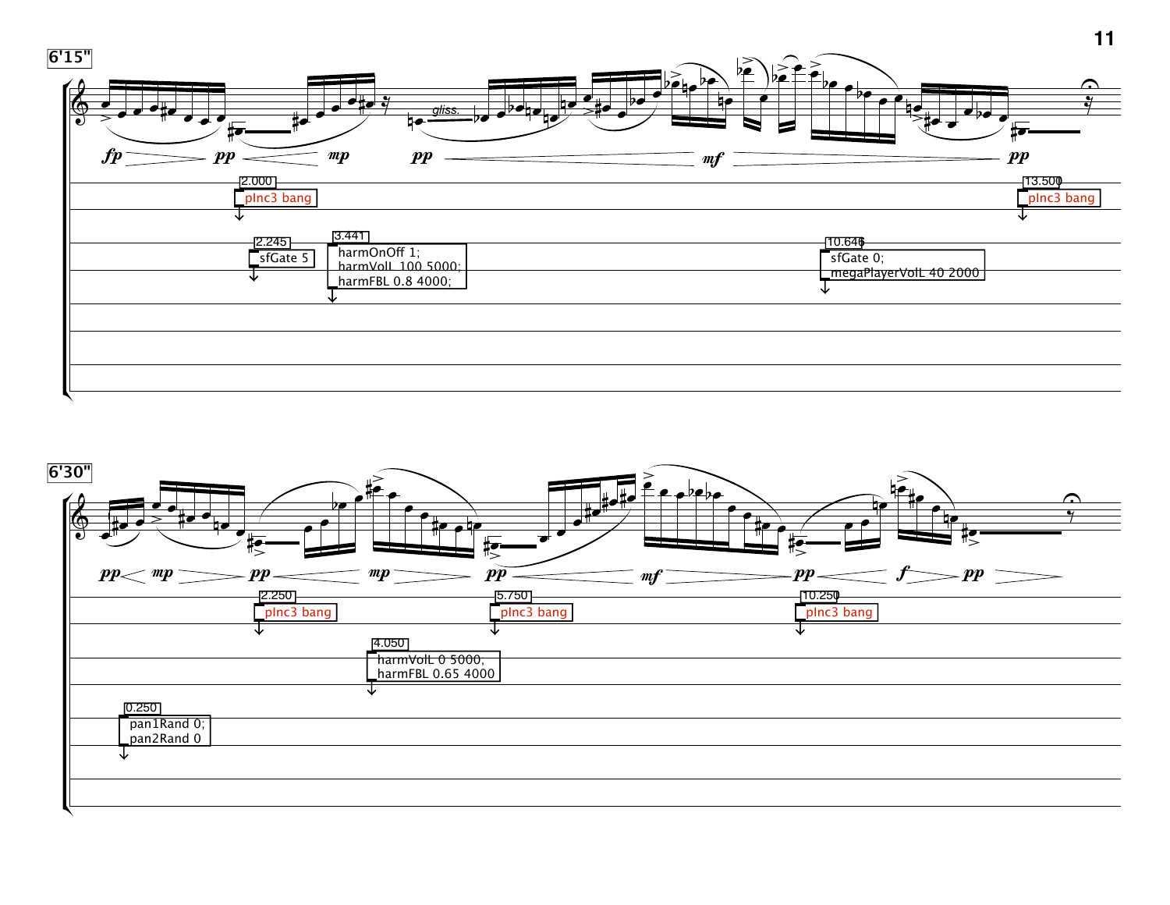

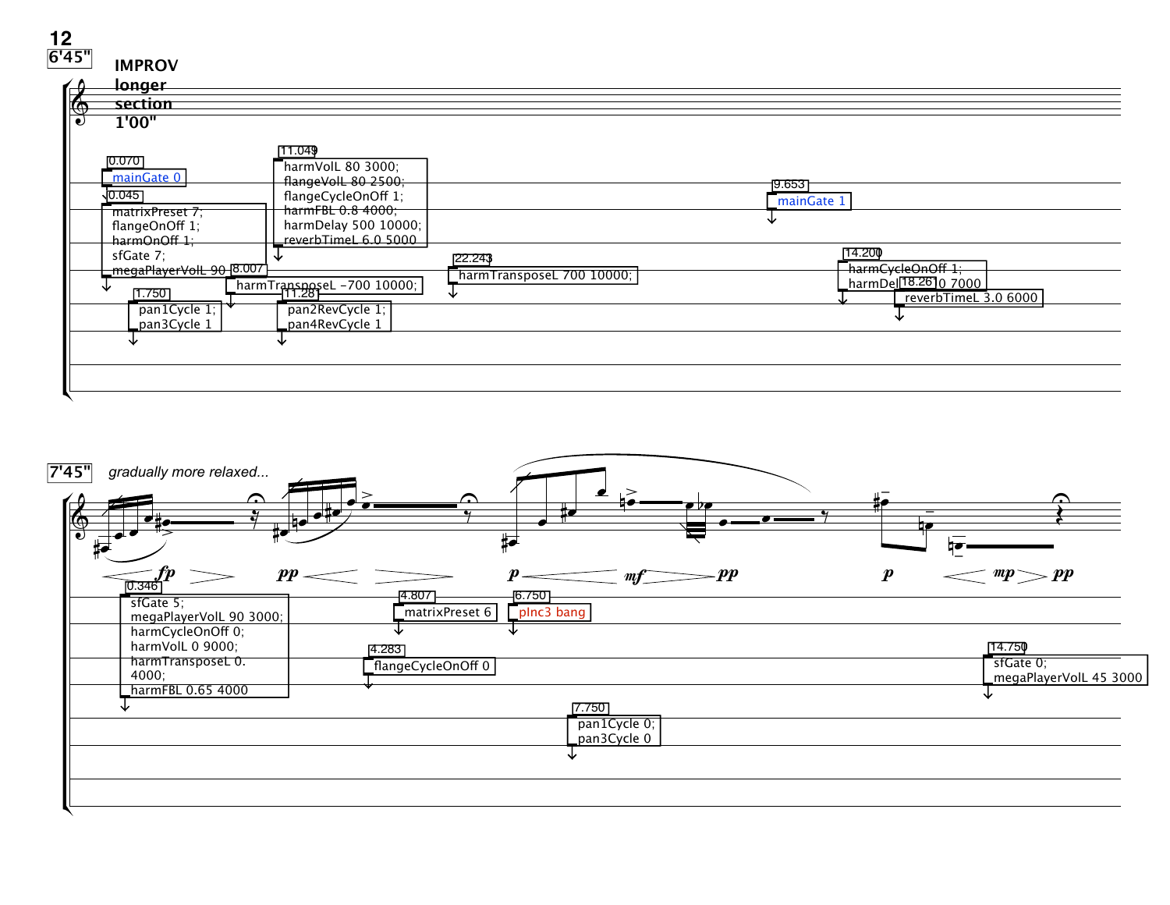| 6'45" |                                |                         |                                              |                           |        |                                                              |
|-------|--------------------------------|-------------------------|----------------------------------------------|---------------------------|--------|--------------------------------------------------------------|
|       | <b>IMPROV</b>                  |                         |                                              |                           |        |                                                              |
|       | longer                         |                         |                                              |                           |        |                                                              |
|       |                                |                         |                                              |                           |        |                                                              |
|       | section                        |                         |                                              |                           |        |                                                              |
|       | $\frac{1}{2}$<br><b>1'00"</b>  |                         | [11.049                                      |                           |        |                                                              |
|       | [0.070]<br>mainGate 0          |                         | harmVolL 80 3000;<br>flangeVolL 80 2500;     |                           | 19.653 |                                                              |
|       | 0.045 <br>matrixPreset 7;      |                         | flangeCycleOnOff 1;<br>harmFBL 0.8 4000;     |                           |        | mainGate 1                                                   |
|       | flangeOnOff 1;<br>harmOnOff 1; |                         | harmDelay 500 10000;<br>reverbTimeL 6.0 5000 |                           |        |                                                              |
|       | sfGate 7:                      | megaPlayerVolL 90_8.007 |                                              | 22.243                    |        | 14.200<br>harmCycleOnOff 1;                                  |
|       | 1.7501                         |                         | harmTransposeL -700 10000;                   | harmTransposeL 700 10000; |        | _harmDel <sup>[18.26]</sup> 0 7000  <br>reverbTimeL 3.0 6000 |
|       | pan3Cycle 1                    | pan1Cycle 1;            | pan2RevCycle 1;<br>pan4RevCycle 1            |                           |        |                                                              |
|       |                                |                         |                                              |                           |        |                                                              |
|       |                                |                         |                                              |                           |        |                                                              |
|       |                                |                         |                                              |                           |        |                                                              |

**12**

| 7'45"      | gradually more relaxed                                              |                                                                         |                                               |
|------------|---------------------------------------------------------------------|-------------------------------------------------------------------------|-----------------------------------------------|
| $\bigcirc$ |                                                                     | ◠<br>$\bullet$<br>₽                                                     |                                               |
|            | $\boldsymbol{pp}$<br>0.346<br>sfGate 5;<br>megaPlayerVolL 90 3000;  | pр<br>$m_{\tilde{I}}$<br>4.807<br>6.750<br>plnc3 bang<br>matrixPreset 6 | mp $>$ pp<br>p                                |
|            | harmCycleOnOff 0;<br>harmVolL 0 9000;<br>harmTransposeL 0.<br>4000; | 4.283<br>flangeCycleOnOff 0                                             | 14.750<br>sfGate 0;<br>megaPlayerVolL 45 3000 |
|            | harmFBL 0.65 4000                                                   | 7.750<br>pan1Cycle 0;<br>pan3Cycle 0                                    |                                               |
|            |                                                                     |                                                                         |                                               |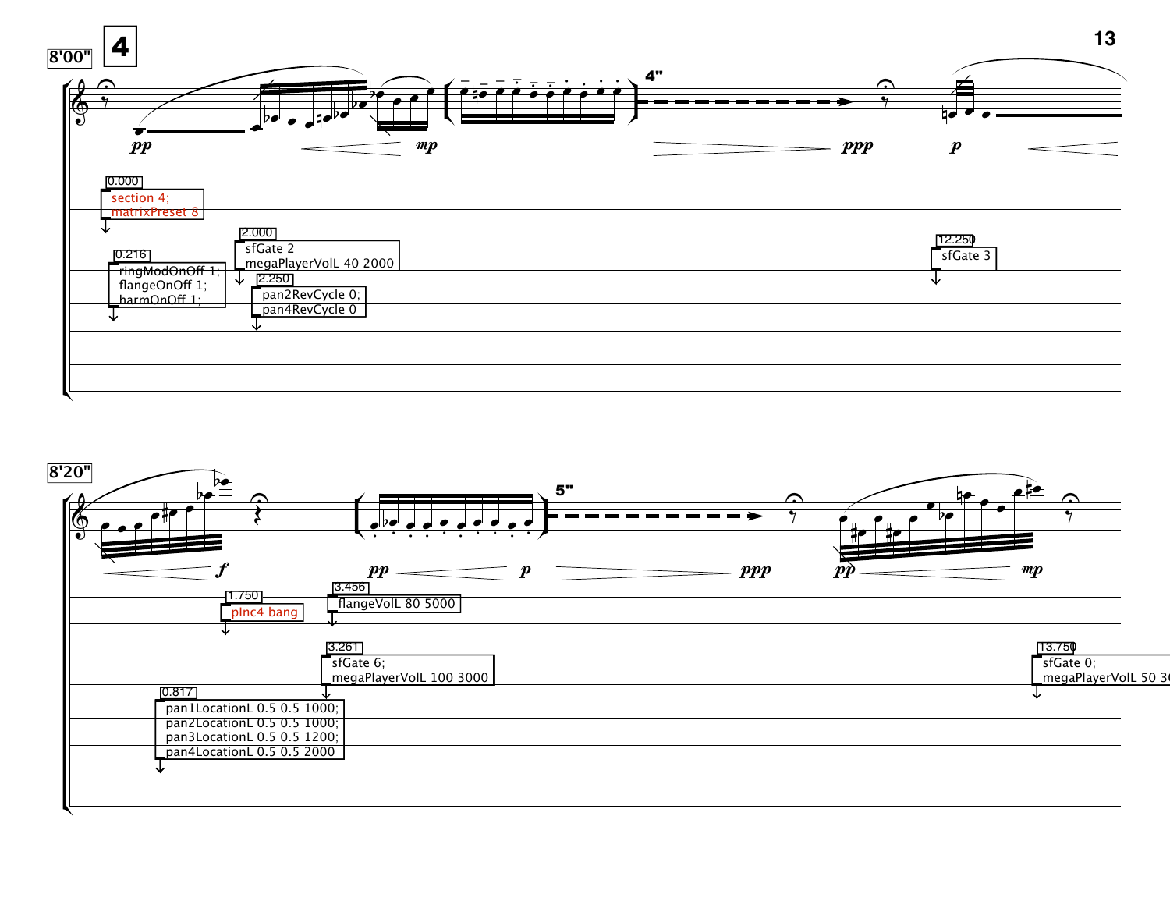

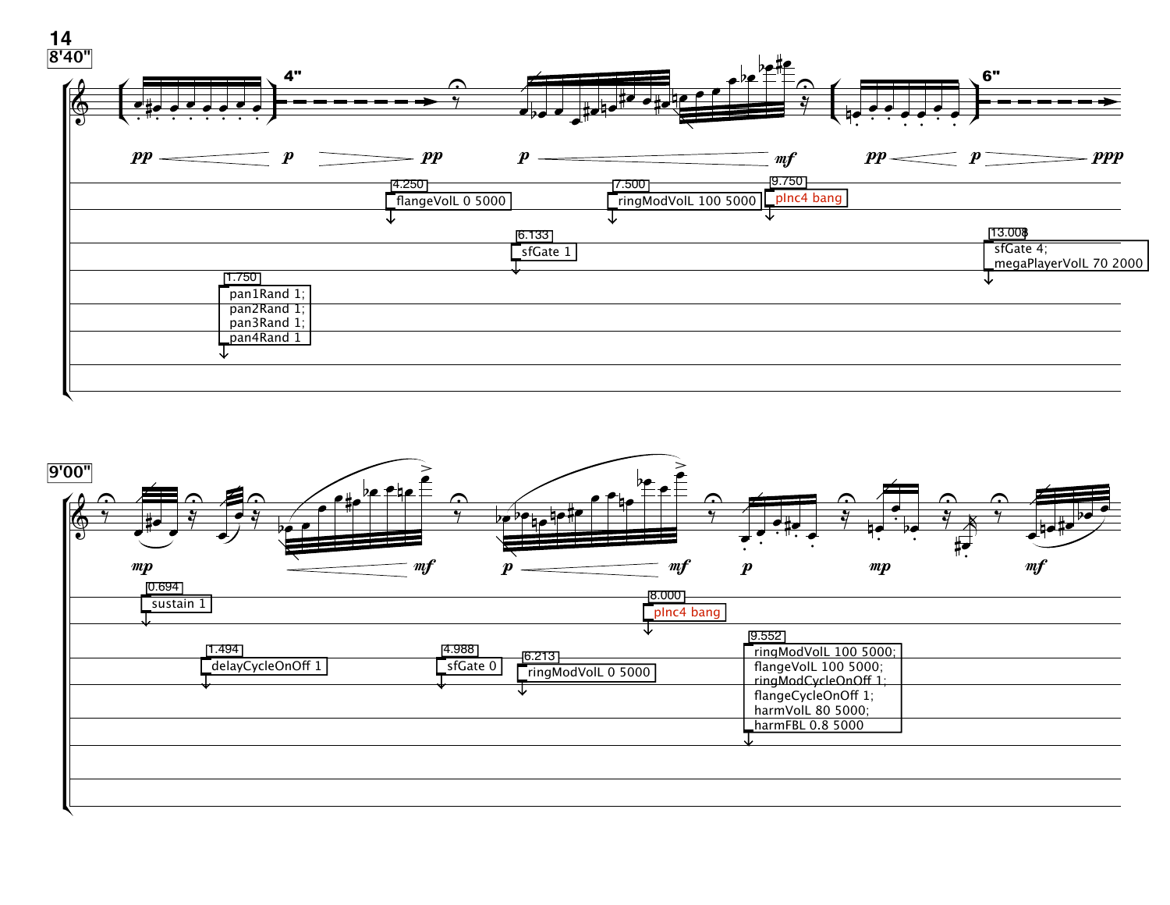

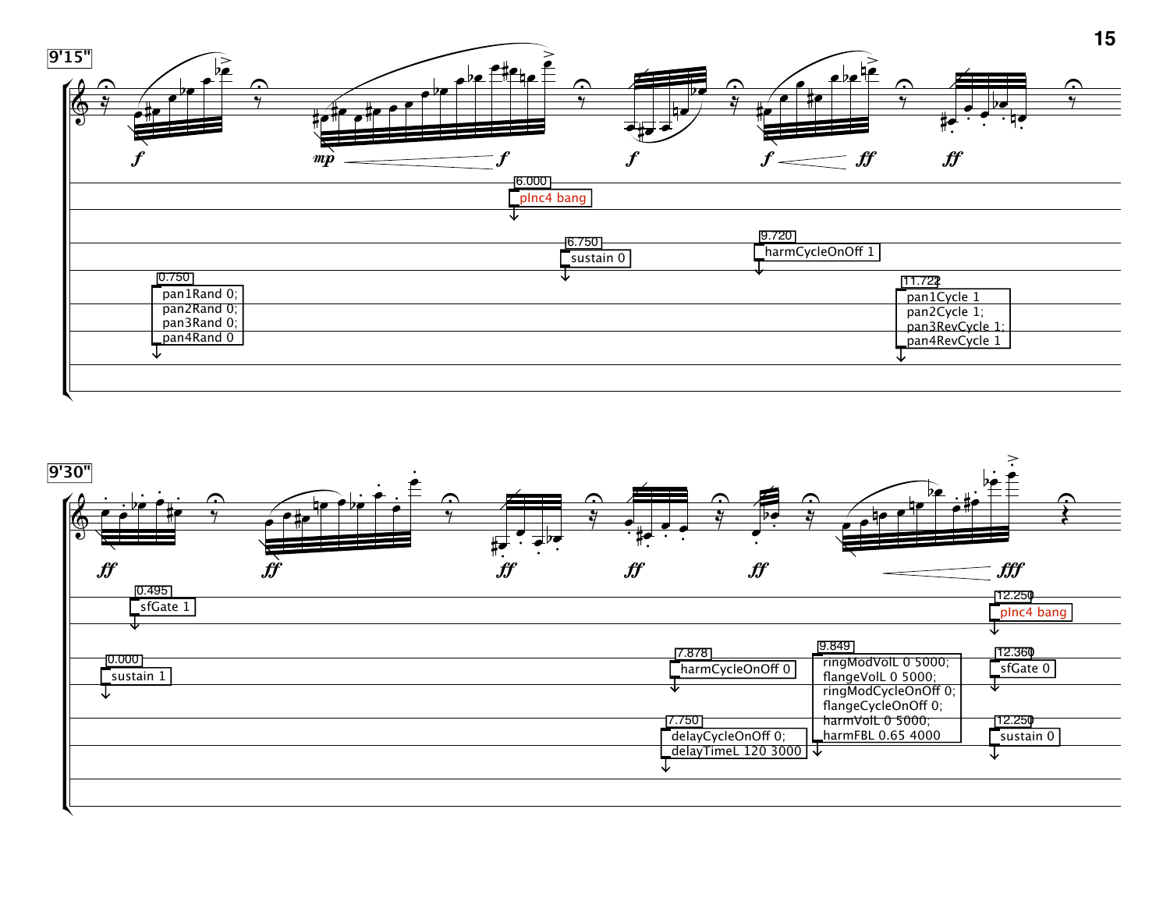

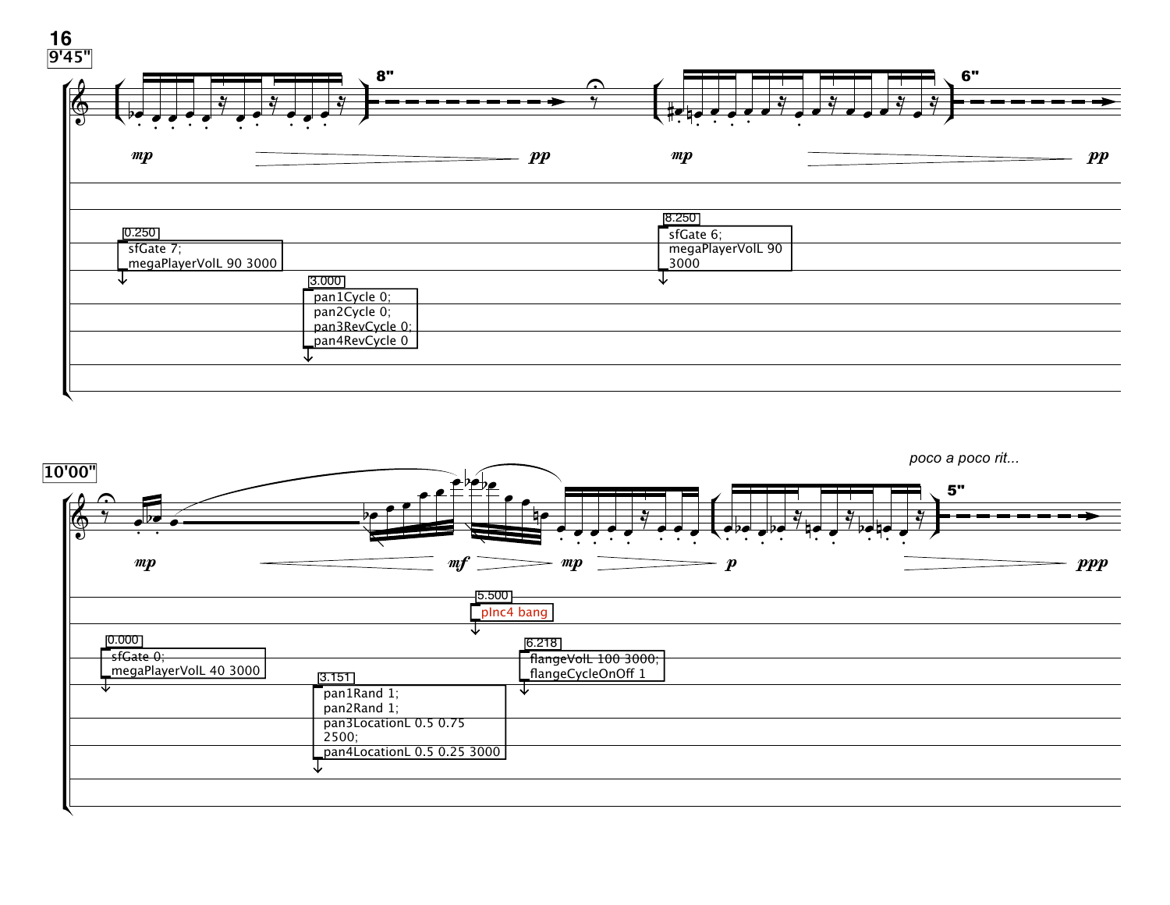

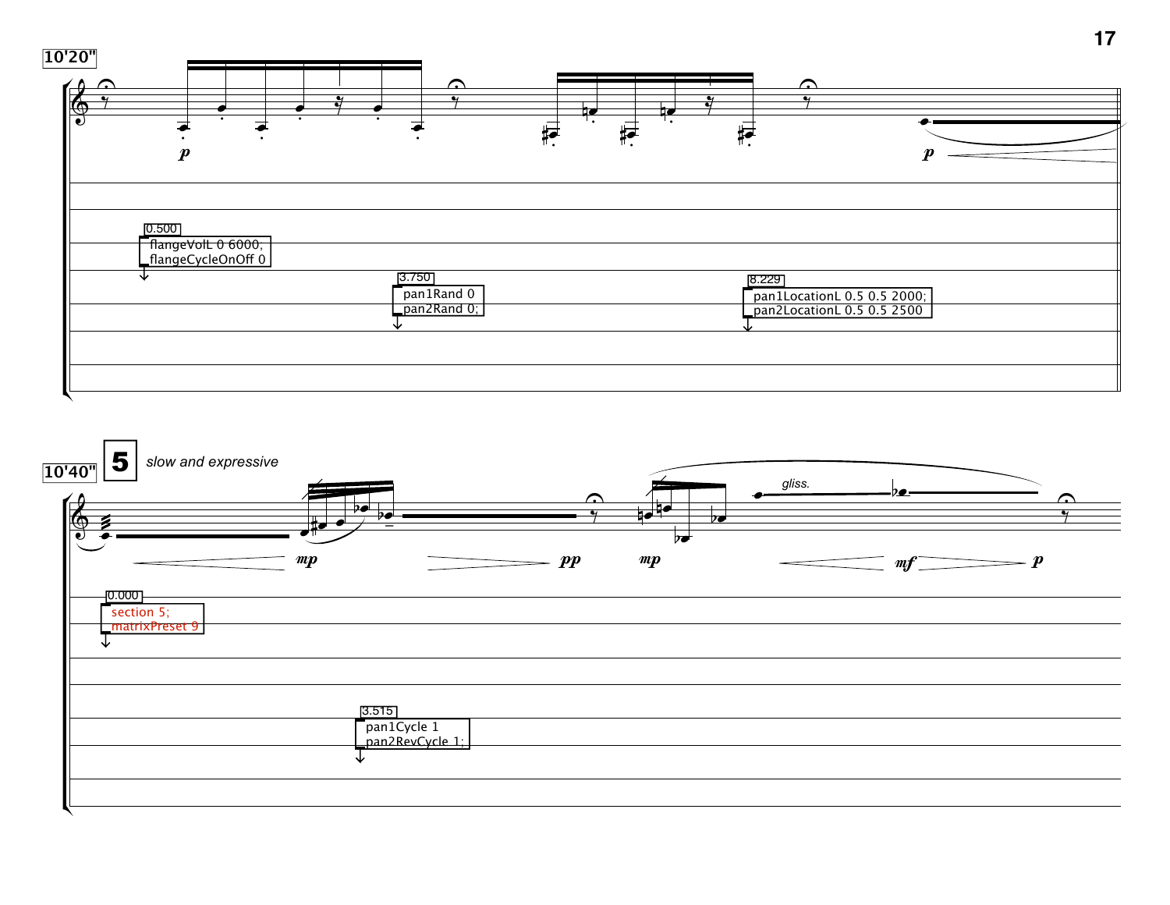

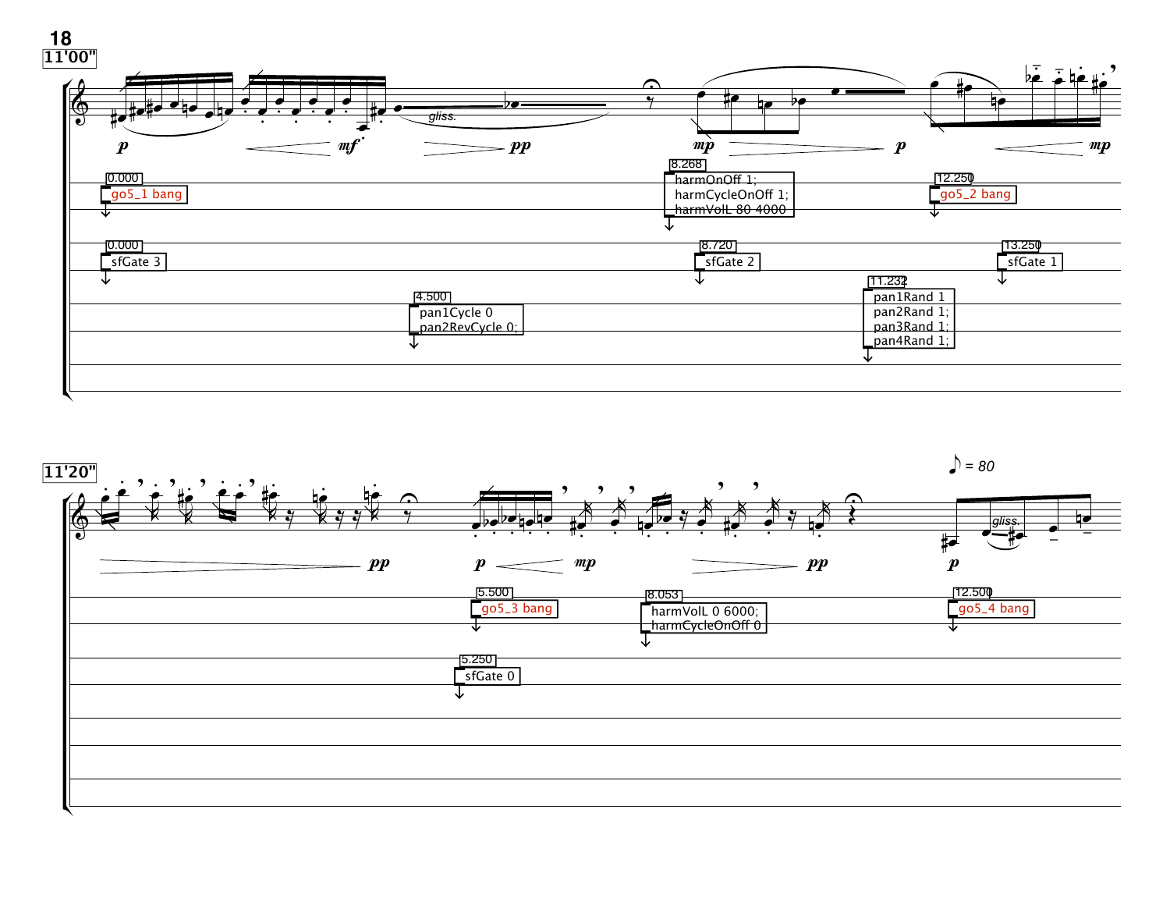